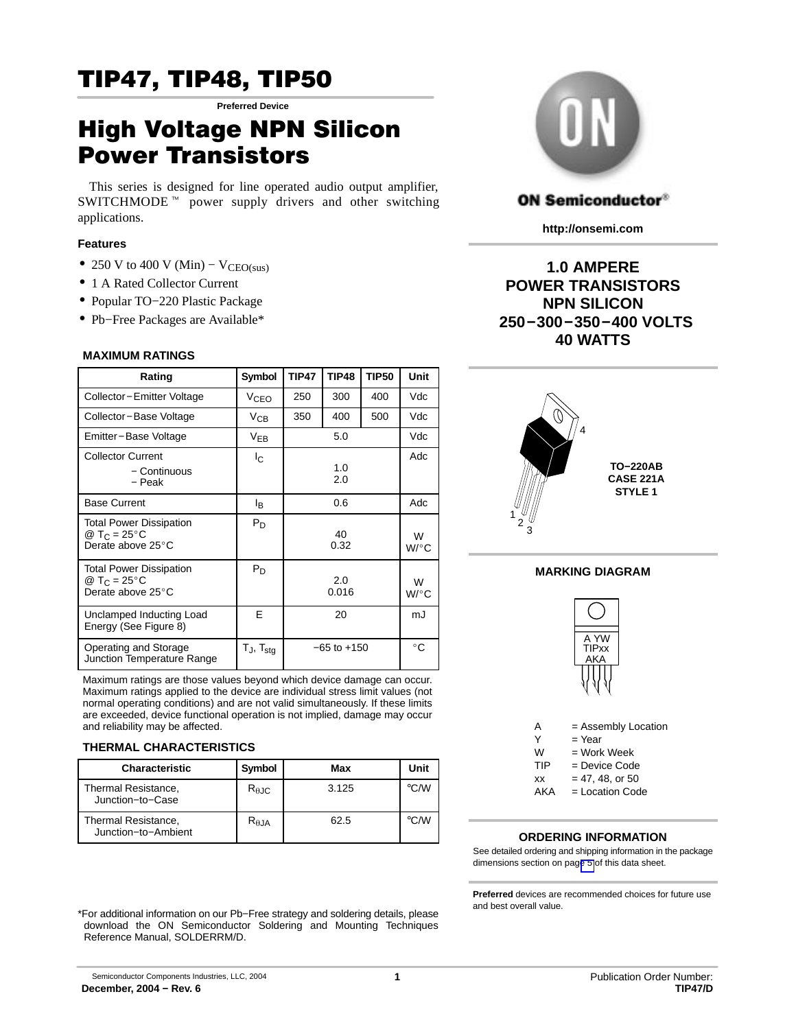## TIP47, TIP48, TIP50 **Preferred Device**

# High Voltage NPN Silicon

This series is designed for line operated audio output amplifier, This series is designed for line operated audio output amplifier, SWITCHMODE<sup> $m$ </sup> power supply drivers and other switching applications.

## **Features**

- 250 V to 400 V (Min)  $V_{\text{CEO(sus)}}$
- 1 A Rated Collector Current
- Popular TO−220 Plastic Package
- Pb−Free Packages are Available\*

## **MAXIMUM RATINGS**

| Rating                                                                          | Symbol            | <b>TIP47</b> | <b>TIP48</b>    | <b>TIP50</b> | Unit         |
|---------------------------------------------------------------------------------|-------------------|--------------|-----------------|--------------|--------------|
| Collector-Emitter Voltage                                                       | VCEO              | 250          | 300             | 400          | Vdc          |
| Collector-Base Voltage                                                          | $V_{CB}$          | 350          | 400             | 500          | Vdc          |
| Emitter-Base Voltage                                                            | $V_{EB}$          |              | 5.0             |              | Vdc          |
| <b>Collector Current</b><br>- Continuous<br>- Peak                              | Ιc                | 1.0<br>2.0   |                 | Adc          |              |
| <b>Base Current</b>                                                             | l <sub>B</sub>    |              | 0.6             |              | Adc          |
| <b>Total Power Dissipation</b><br>@ T <sub>C</sub> = 25 °C<br>Derate above 25°C | $P_D$             |              | 40<br>0.32      |              | W<br>$W$ /°C |
| <b>Total Power Dissipation</b><br>@ T <sub>C</sub> = 25 °C<br>Derate above 25°C | $P_D$             | 2.0<br>0.016 |                 | W<br>$W$ /°C |              |
| Unclamped Inducting Load<br>Energy (See Figure 8)                               | E                 |              | 20              |              | mJ           |
| Operating and Storage<br>Junction Temperature Range                             | $T_J$ , $T_{stg}$ |              | $-65$ to $+150$ |              | $^{\circ}$ C |

Maximum ratings are those values beyond which device damage can occur. Maximum ratings applied to the device are individual stress limit values (not normal operating conditions) and are not valid simultaneously. If these limits are exceeded, device functional operation is not implied, damage may occur and reliability may be affected.

## **THERMAL CHARACTERISTICS**

| <b>Characteristic</b>                          | Symbol                 | Max   | Unit          |
|------------------------------------------------|------------------------|-------|---------------|
| <b>Thermal Resistance,</b><br>Junction-to-Case | $R_{\theta \text{JC}}$ | 3.125 | $\degree$ C/W |
| Thermal Resistance,<br>Junction-to-Ambient     | $R_{\theta,JA}$        | 62.5  | °C∕W          |

\*For additional information on our Pb−Free strategy and soldering details, please download the ON Semiconductor Soldering and Mounting Techniques Reference Manual, SOLDERRM/D.



## **ON Semiconductor®**

**http://onsemi.com**

**1.0 AMPERE POWER TRANSISTORS NPN SILICON 250−300−350−400 VOLTS 40 WATTS**



## **MARKING DIAGRAM**



 $AKA =$  Location Code

## **ORDERING INFORMATION**

See detailed ordering and shipping information in the package dimensions section on pag[e 5](#page-4-0) of this data sheet.

**Preferred** devices are recommended choices for future use and best overall value.

 Semiconductor Components Industries, LLC, 2004 **December, 2004 − Rev. 6**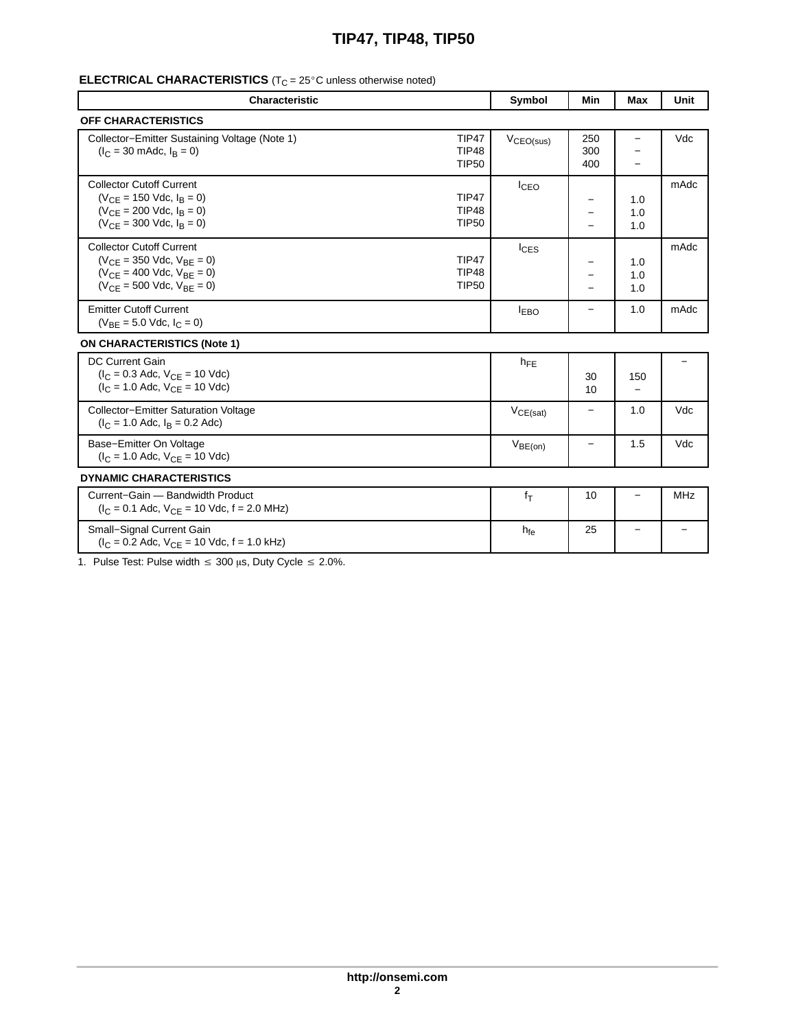## **TIP47, TIP48, TIP50**

### 

| <b>Characteristic</b>                                                                                                                             |                                              | Symbol                | <b>Min</b>                                                                       | Max                                                         | Unit                     |
|---------------------------------------------------------------------------------------------------------------------------------------------------|----------------------------------------------|-----------------------|----------------------------------------------------------------------------------|-------------------------------------------------------------|--------------------------|
| <b>OFF CHARACTERISTICS</b>                                                                                                                        |                                              |                       |                                                                                  |                                                             |                          |
| Collector-Emitter Sustaining Voltage (Note 1)<br>$(I_C = 30 \text{ m}$ Adc, $I_B = 0$ )                                                           | TIP47<br><b>TIP48</b><br><b>TIP50</b>        | $V_{\text{CEO(sus)}}$ | 250<br>300<br>400                                                                | $-$<br>$\overline{\phantom{0}}$<br>$\overline{\phantom{0}}$ | Vdc                      |
| <b>Collector Cutoff Current</b><br>$(V_{CE} = 150$ Vdc, $I_B = 0$ )<br>$(V_{CE} = 200$ Vdc, $I_B = 0$ )<br>$(V_{CE} = 300$ Vdc, $I_B = 0)$        | <b>TIP47</b><br><b>TIP48</b><br><b>TIP50</b> | $I_{CEO}$             | $-$<br>—<br>$\overline{\phantom{0}}$                                             | 1.0<br>1.0<br>1.0                                           | mAdc                     |
| <b>Collector Cutoff Current</b><br>$(V_{CE} = 350$ Vdc, $V_{BE} = 0)$<br>$(V_{CE} = 400$ Vdc, $V_{BE} = 0)$<br>$(V_{CE} = 500$ Vdc, $V_{BE} = 0)$ | <b>TIP47</b><br>TIP48<br><b>TIP50</b>        | $I_{CES}$             | $\overline{\phantom{0}}$<br>$\overline{\phantom{0}}$<br>$\overline{\phantom{0}}$ | 1.0<br>1.0<br>1.0                                           | mAdc                     |
| <b>Emitter Cutoff Current</b><br>$(V_{BE} = 5.0$ Vdc, $I_C = 0$ )                                                                                 |                                              | <b>EBO</b>            | $\overline{\phantom{0}}$                                                         | 1.0                                                         | mAdc                     |
| <b>ON CHARACTERISTICS (Note 1)</b>                                                                                                                |                                              |                       |                                                                                  |                                                             |                          |
| <b>DC Current Gain</b><br>$(I_C = 0.3$ Adc, $V_{CE} = 10$ Vdc)<br>$(I_C = 1.0$ Adc, $V_{CE} = 10$ Vdc)                                            |                                              | $h_{FF}$              | 30<br>10                                                                         | 150<br>$\overline{\phantom{0}}$                             | $\overline{\phantom{0}}$ |
| Collector-Emitter Saturation Voltage<br>$(I_C = 1.0$ Adc, $I_B = 0.2$ Adc)                                                                        |                                              | $V_{CE(sat)}$         | $\overline{\phantom{0}}$                                                         | 1.0                                                         | Vdc                      |
| Base-Emitter On Voltage<br>$(I_C = 1.0$ Adc, $V_{CE} = 10$ Vdc)                                                                                   |                                              | $V_{BE(on)}$          | $-$                                                                              | 1.5                                                         | Vdc                      |
| <b>DYNAMIC CHARACTERISTICS</b>                                                                                                                    |                                              |                       |                                                                                  |                                                             |                          |
| Current-Gain - Bandwidth Product<br>$(I_C = 0.1$ Adc, $V_{CE} = 10$ Vdc, $f = 2.0$ MHz)                                                           |                                              | $f_T$                 | 10                                                                               | $\overline{\phantom{0}}$                                    | MHz                      |
| Small-Signal Current Gain<br>$(I_C = 0.2$ Adc, $V_{CE} = 10$ Vdc, $f = 1.0$ kHz)                                                                  |                                              | $h_{fe}$              | 25                                                                               | $\overline{\phantom{0}}$                                    | $\qquad \qquad -$        |

1. Pulse Test: Pulse width  $\leq 300 \,\mu s$ , Duty Cycle  $\leq 2.0\%$ .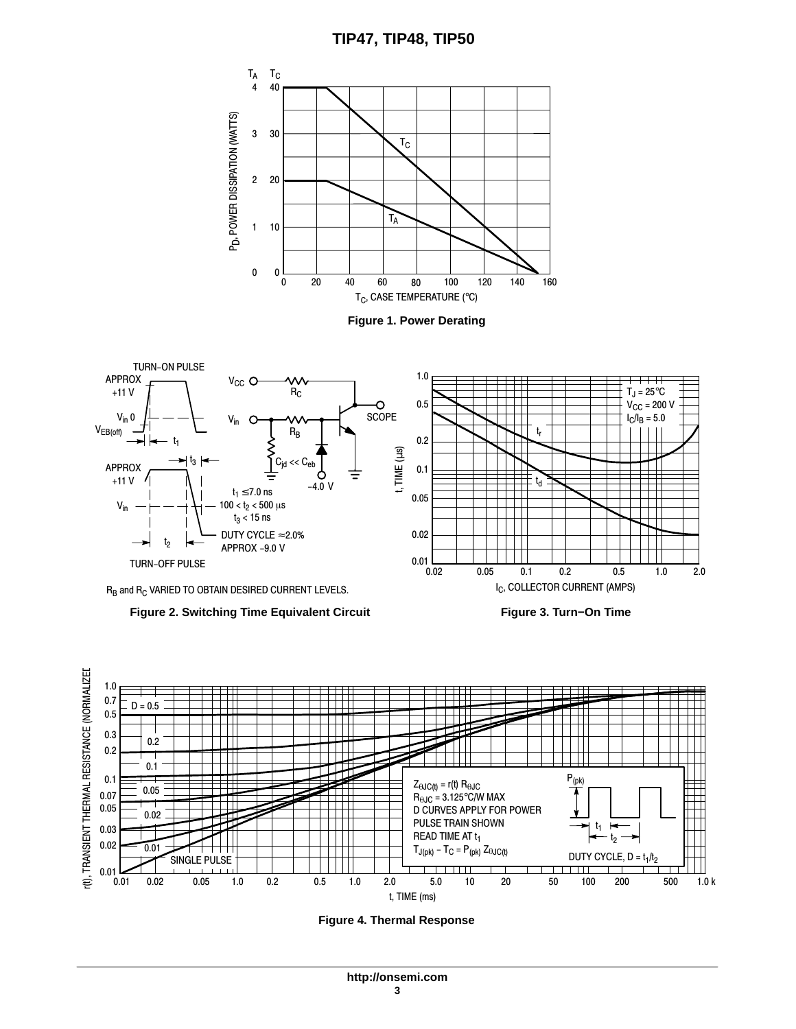<span id="page-2-0"></span>





**Figure 2. Switching Time Equivalent Circuit**

**Figure 3. Turn−On Time**



**Figure 4. Thermal Response**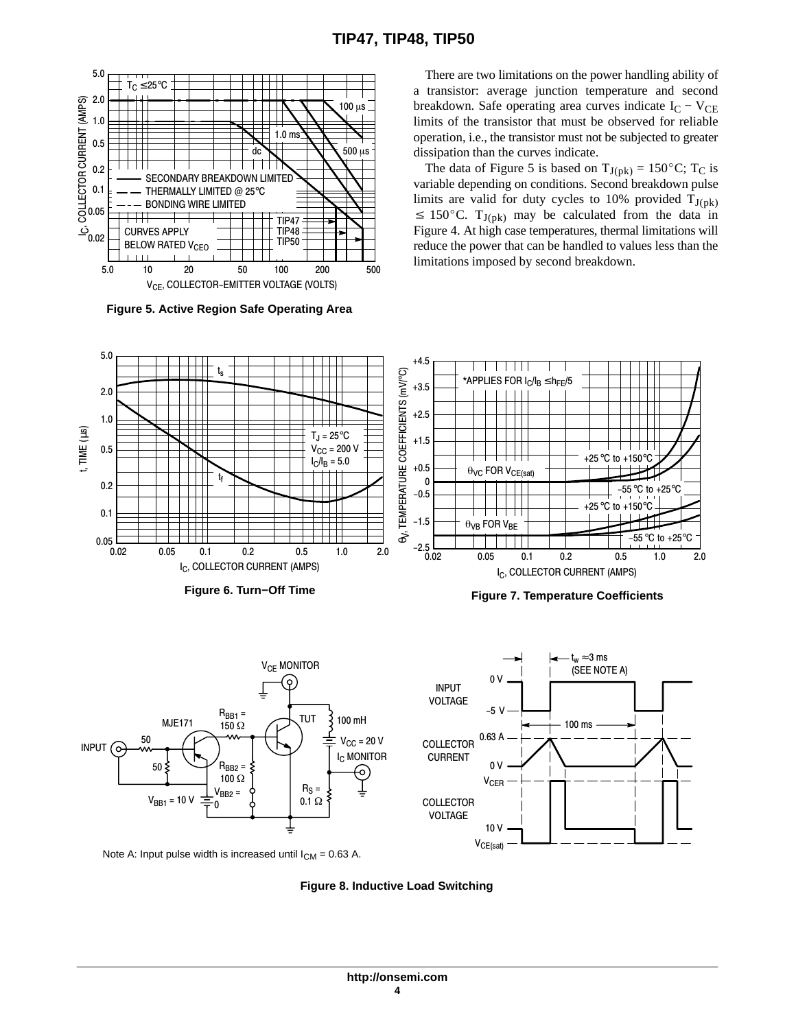

**Figure 5. Active Region Safe Operating Area**

There are two limitations on the power handling ability of a transistor: average junction temperature and second breakdown. Safe operating area curves indicate  $I_C - V_{CE}$ limits of the transistor that must be observed for reliable operation, i.e., the transistor must not be subjected to greater dissipation than the curves indicate.

The data of Figure 5 is based on  $T_{J(pk)} = 150^{\circ}C$ ; T<sub>C</sub> is variable depending on conditions. Second breakdown pulse limits are valid for duty cycles to 10% provided  $T_{J(pk)} \le 150^{\circ}$ C.  $T_{J(pk)}$  may be calculated from the data in Figure [4.](#page-2-0) At high case temperatures, thermal limitations will reduce the power that can be handled to values less than the limitations imposed by second breakdown.



Note A: Input pulse width is increased until  $I_{CM} = 0.63$  A.

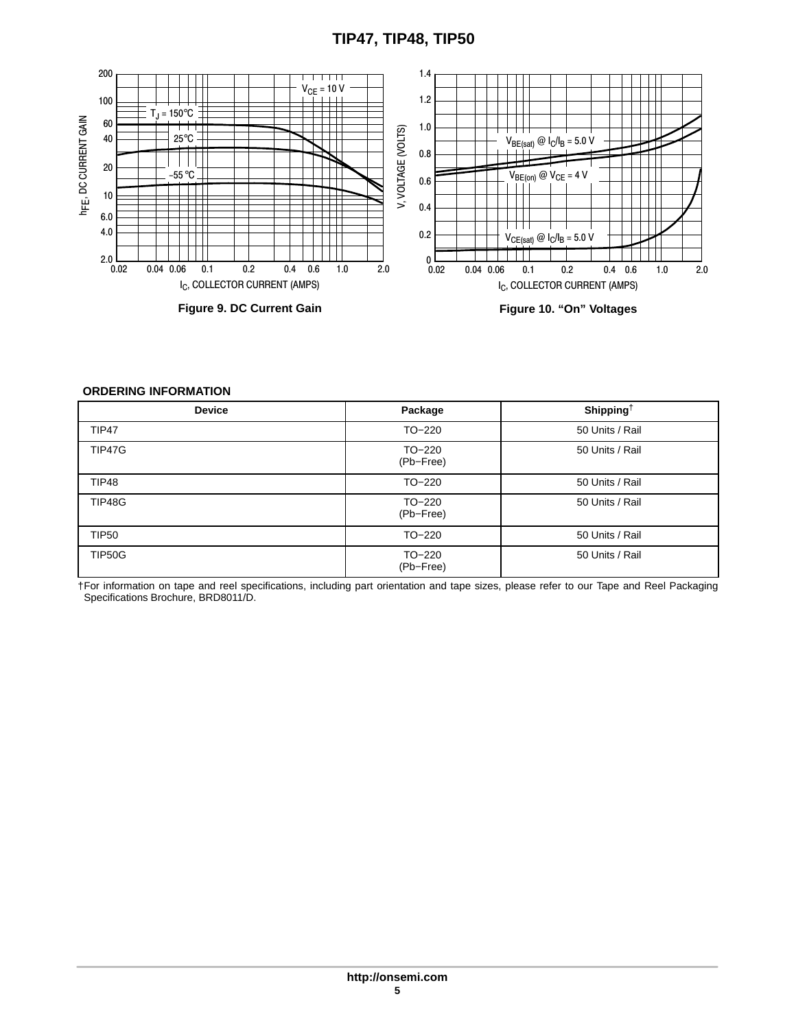## **TIP47, TIP48, TIP50**

<span id="page-4-0"></span>

#### **ORDERING INFORMATION**

| <b>Device</b> | Package               | Shipping <sup>+</sup> |
|---------------|-----------------------|-----------------------|
| TIP47         | TO-220                | 50 Units / Rail       |
| TIP47G        | $TO-220$<br>(Pb-Free) | 50 Units / Rail       |
| TIP48         | TO-220                | 50 Units / Rail       |
| <b>TIP48G</b> | $TO-220$<br>(Pb-Free) | 50 Units / Rail       |
| <b>TIP50</b>  | TO-220                | 50 Units / Rail       |
| <b>TIP50G</b> | TO-220<br>(Pb-Free)   | 50 Units / Rail       |

†For information on tape and reel specifications, including part orientation and tape sizes, please refer to our Tape and Reel Packaging Specifications Brochure, BRD8011/D.